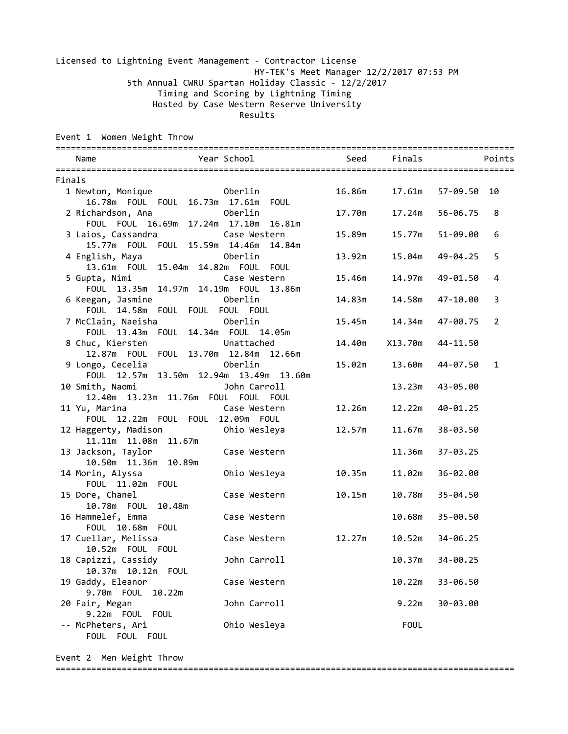### Licensed to Lightning Event Management - Contractor License HY-TEK's Meet Manager 12/2/2017 07:53 PM 5th Annual CWRU Spartan Holiday Classic - 12/2/2017 Timing and Scoring by Lightning Timing Hosted by Case Western Reserve University Results

Event 1 Women Weight Throw

| Year School<br>Name                                                      |        | Seed Finals | Points                     |
|--------------------------------------------------------------------------|--------|-------------|----------------------------|
| Finals                                                                   |        |             |                            |
| 1 Newton, Monique <b>1 21 Oberlin</b>                                    | 16.86m | 17.61m      | 57-09.50 10                |
| 16.78m  FOUL  FOUL  16.73m  17.61m  FOUL                                 |        |             |                            |
| 2 Richardson, Ana<br>Oberlin                                             | 17.70m | 17.24m      | 56-06.75<br>8              |
| FOUL FOUL 16.69m 17.24m 17.10m 16.81m                                    |        |             |                            |
| 3 Laios, Cassandra Case Western<br>15.77m FOUL FOUL 15.59m 14.46m 14.84m | 15.89m | 15.77m      | 51-09.00<br>6              |
| 4 English, Maya<br>Oberlin                                               | 13.92m | 15.04m      | 49-04.25<br>5              |
| 13.61m  FOUL  15.04m  14.82m  FOUL  FOUL                                 |        |             |                            |
| 5 Gupta, Nimi<br><b>Case Western</b>                                     | 15.46m | 14.97m      | 49-01.50<br>4              |
| FOUL 13.35m 14.97m 14.19m FOUL 13.86m                                    |        |             |                            |
| 6 Keegan, Jasmine <b>bene</b> Oberlin                                    | 14.83m | 14.58m      | 47-10.00<br>3              |
| FOUL 14.58m FOUL FOUL FOUL FOUL                                          |        |             |                            |
| 7 McClain, Naeisha<br><u>oberlin Doberlin</u>                            | 15.45m | 14.34m      | 47-00.75<br>$\overline{2}$ |
| FOUL 13.43m  FOUL 14.34m  FOUL 14.05m                                    |        |             |                            |
| 8 Chuc, Kiersten battached                                               | 14.40m | X13.70m     | 44-11.50                   |
| 12.87m  FOUL  FOUL  13.70m  12.84m  12.66m<br>Oberlin                    |        |             |                            |
| 9 Longo, Cecelia<br>FOUL 12.57m 13.50m 12.94m 13.49m 13.60m              | 15.02m | 13.60m      | 44-07.50<br>$\mathbf{1}$   |
| 10 Smith, Naomi <b>barroll</b>                                           |        | 13.23m      | 43-05.00                   |
| 12.40m  13.23m  11.76m  FOUL  FOUL  FOUL                                 |        |             |                            |
| 11 Yu, Marina <b>Case Western</b>                                        | 12.26m | 12.22m      | 40-01.25                   |
| FOUL 12.22m FOUL FOUL 12.09m FOUL                                        |        |             |                            |
| 12 Haggerty, Madison <b>Chic Wesleya</b>                                 | 12.57m | 11.67m      | 38-03.50                   |
| 11.11m  11.08m  11.67m                                                   |        |             |                            |
| 13 Jackson, Taylor<br>Case Western                                       |        | 11.36m      | 37-03.25                   |
| 10.50m  11.36m  10.89m                                                   |        |             |                            |
| 14 Morin, Alyssa<br>Ohio Wesleya                                         | 10.35m | 11.02m      | 36-02.00                   |
| FOUL 11.02m FOUL                                                         |        |             |                            |
| 15 Dore, Chanel<br>Case Western<br>10.78m  FOUL  10.48m                  | 10.15m | 10.78m      | 35-04.50                   |
| 16 Hammelef, Emma<br>Case Western                                        |        | 10.68m      | 35-00.50                   |
| FOUL 10.68m FOUL                                                         |        |             |                            |
| 17 Cuellar, Melissa<br>Case Western                                      | 12.27m | 10.52m      | 34-06.25                   |
| 10.52m FOUL FOUL                                                         |        |             |                            |
| 18 Capizzi, Cassidy<br>John Carroll                                      |        | 10.37m      | 34-00.25                   |
| 10.37m 10.12m<br>FOUL                                                    |        |             |                            |
| 19 Gaddy, Eleanor<br>Case Western                                        |        | 10.22m      | 33-06.50                   |
| 9.70m FOUL<br>10.22m                                                     |        |             |                            |
| John Carroll<br>20 Fair, Megan                                           |        | 9.22m       | 30-03.00                   |
| 9.22m FOUL<br><b>FOUL</b>                                                |        |             |                            |
| Ohio Wesleya<br>-- McPheters, Ari                                        |        | <b>FOUL</b> |                            |
| FOUL FOUL FOUL                                                           |        |             |                            |

Event 2 Men Weight Throw ==========================================================================================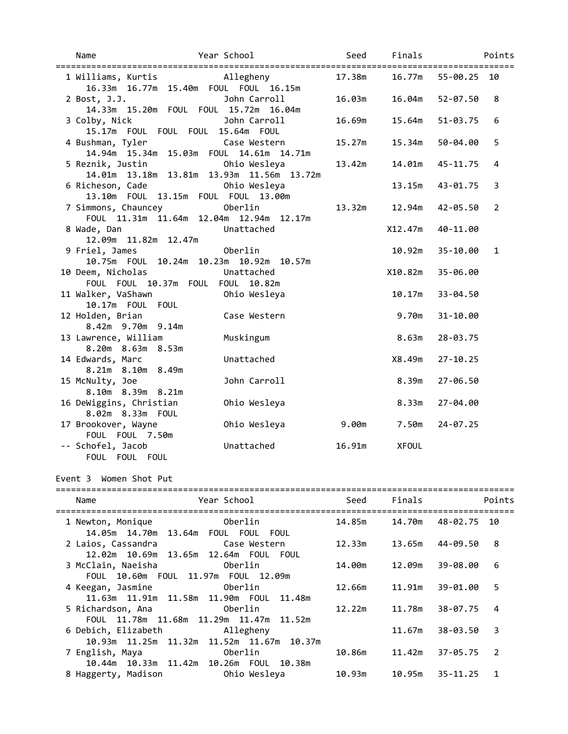| Name                                                                       | Year School                | Seed   | Finals          |              | Points         |
|----------------------------------------------------------------------------|----------------------------|--------|-----------------|--------------|----------------|
| 1 Williams, Kurtis Allegheny<br>16.33m  16.77m  15.40m  FOUL  FOUL  16.15m |                            | 17.38m | 16.77m          | 55-00.25 10  |                |
| 2 Bost, J.J.<br>14.33m 15.20m FOUL FOUL 15.72m 16.04m                      | John Carroll               | 16.03m | 16.04m          | 52-07.50     | 8              |
| 3 Colby, Nick<br>15.17m FOUL FOUL FOUL 15.64m FOUL                         | John Carroll               | 16.69m | 15.64m          | 51-03.75     | 6              |
| 4 Bushman, Tyler<br>14.94m 15.34m 15.03m FOUL 14.61m 14.71m                | Case Western               | 15.27m | 15.34m          | 50-04.00     | 5              |
| 5 Reznik, Justin<br>14.01m  13.18m  13.81m  13.93m  11.56m  13.72m         | Ohio Wesleya               | 13.42m | 14.01m          | 45-11.75     | 4              |
| 6 Richeson, Cade<br>13.10m  FOUL  13.15m  FOUL  FOUL  13.00m               | Ohio Wesleya               |        | 13.15m          | 43-01.75     | 3              |
| 7 Simmons, Chauncey<br>FOUL 11.31m 11.64m 12.04m 12.94m 12.17m             | Oberlin                    | 13.32m | 12.94m          | 42-05.50     | $\overline{2}$ |
| <b>Example 2018</b> Unattached<br>8 Wade, Dan<br>12.09m  11.82m  12.47m    |                            |        | X12.47m         | 40-11.00     |                |
| 9 Friel, James<br>10.75m FOUL 10.24m 10.23m 10.92m 10.57m                  | Oberlin                    |        | 10.92m          | 35-10.00     | $\mathbf{1}$   |
| 10 Deem, Nicholas<br>FOUL FOUL 10.37m FOUL FOUL 10.82m                     | Unattached                 |        | X10.82m         | 35-06.00     |                |
| 11 Walker, VaShawn<br>10.17m FOUL FOUL                                     | Ohio Wesleya               |        | 10.17m          | 33-04.50     |                |
| 12 Holden, Brian<br>8.42m 9.70m 9.14m                                      | Case Western               |        | 9.70m           | 31-10.00     |                |
| 13 Lawrence, William<br>8.20m 8.63m 8.53m                                  | Muskingum                  |        | 8.63m           | 28-03.75     |                |
| 14 Edwards, Marc<br>8.21m 8.10m 8.49m                                      | Unattached<br>John Carroll |        | X8.49m<br>8.39m | $27 - 10.25$ |                |
| 15 McNulty, Joe<br>8.10m 8.39m 8.21m                                       |                            |        | 8.33m           | 27-06.50     |                |
| 16 DeWiggins, Christian<br>8.02m 8.33m FOUL                                | Ohio Wesleya               |        |                 | 27-04.00     |                |
| 17 Brookover, Wayne<br>FOUL FOUL 7.50m                                     | Ohio Wesleya               | 9.00m  | 7.50m           | $24 - 07.25$ |                |
| -- Schofel, Jacob<br>FOUL FOUL FOUL                                        | Unattached                 | 16.91m | <b>XFOUL</b>    |              |                |

## Event 3 Women Shot Put

| Name                                                                | Year School                                               | Seed   | Finals | Points                         |
|---------------------------------------------------------------------|-----------------------------------------------------------|--------|--------|--------------------------------|
| 1 Newton, Monique                                                   | Oberlin<br>14.05m  14.70m  13.64m  FOUL  FOUL  FOUL       | 14.85m | 14.70m | 48-02.75 10                    |
| 2 Laios, Cassandra Case Western<br>12.02m 10.69m 13.65m 12.64m FOUL | FOUL                                                      | 12.33m | 13.65m | 44-09.50<br>-8                 |
| 3 McClain, Naeisha                                                  | Oberlin<br>FOUL 10.60m  FOUL  11.97m  FOUL  12.09m        | 14.00m | 12.09m | 39-08.00<br>6                  |
| 4 Keegan, Jasmine     Oberlin                                       | 11.63m  11.91m  11.58m  11.90m  FOUL  11.48m              | 12.66m | 11.91m | 39-01.00<br>5                  |
| 5 Richardson, Ana                                                   | Oberlin                                                   | 12.22m | 11.78m | $38 - 07.75$ 4                 |
| 6 Debich, Elizabeth Allegheny                                       | FOUL 11.78m 11.68m 11.29m 11.47m 11.52m                   |        | 11.67m | $38 - 03.50$ 3                 |
| 7 English, Maya                                                     | 10.93m  11.25m  11.32m  11.52m  11.67m  10.37m<br>Oberlin | 10.86m | 11.42m | $37 - 05.75$<br>$\overline{2}$ |
| 8 Haggerty, Madison                                                 | 10.44m 10.33m 11.42m 10.26m FOUL 10.38m<br>Ohio Wesleva   | 10.93m | 10.95m | $35 - 11.25$<br>1              |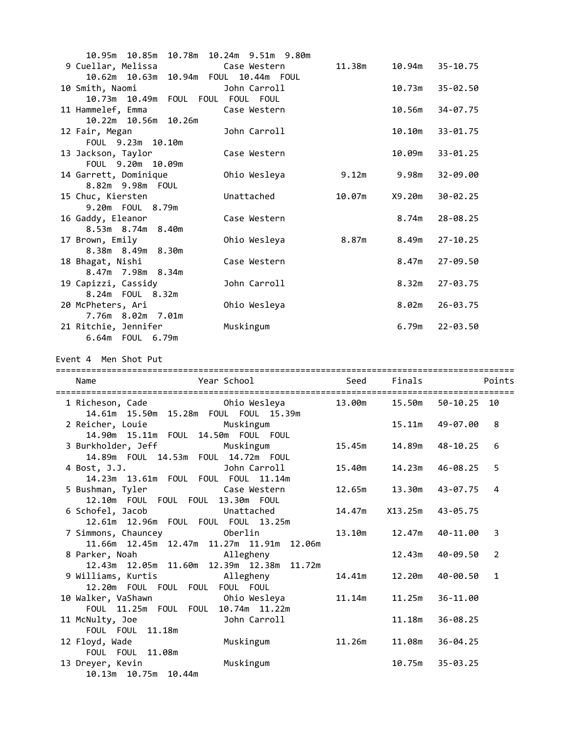| 10.85m<br>10.95m                           | 10.78m  10.24m  9.51m  9.80m |        |        |                    |
|--------------------------------------------|------------------------------|--------|--------|--------------------|
| 9 Cuellar, Melissa Case Western            |                              | 11.38m | 10.94m | 35-10.75           |
| 10.62m  10.63m  10.94m  FOUL  10.44m  FOUL |                              |        |        |                    |
| 10 Smith, Naomi                            | John Carroll                 |        | 10.73m | 35-02.50           |
| 10.73m 10.49m FOUL FOUL FOUL FOUL          |                              |        |        |                    |
| 11 Hammelef, Emma                          | Case Western                 |        | 10.56m | 34-07.75           |
| 10.22m  10.56m  10.26m                     |                              |        |        |                    |
| 12 Fair, Megan                             | John Carroll                 |        | 10.10m | 33-01.75           |
| FOUL 9.23m 10.10m                          |                              |        |        |                    |
| 13 Jackson, Taylor                         | Case Western                 |        | 10.09m | $33 - 01.25$       |
| FOUL 9.20m 10.09m                          |                              |        |        |                    |
| 14 Garrett, Dominique                      | Ohio Wesleya                 | 9.12m  | 9.98m  | 32-09.00           |
| 8.82m 9.98m FOUL                           |                              |        |        |                    |
| 15 Chuc, Kiersten<br>9.20m FOUL 8.79m      | Unattached                   | 10.07m | X9.20m | $30 - 02.25$       |
| 16 Gaddy, Eleanor                          | Case Western                 |        | 8.74m  | $28 - 08.25$       |
| 8.53m 8.74m 8.40m                          |                              |        |        |                    |
| 17 Brown, Emily                            | Ohio Wesleya                 | 8.87m  | 8.49m  | $27 - 10.25$       |
| 8.38m 8.49m 8.30m                          |                              |        |        |                    |
| 18 Bhagat, Nishi                           | Case Western                 |        | 8.47m  | 27-09.50           |
| 8.47m 7.98m 8.34m                          |                              |        |        |                    |
| 19 Capizzi, Cassidy                        | John Carroll                 |        | 8.32m  | 27-03.75           |
| 8.24m FOUL 8.32m                           |                              |        |        |                    |
| 20 McPheters, Ari                          | Ohio Wesleya                 |        | 8.02m  | 26-03.75           |
| 7.76m 8.02m 7.01m                          |                              |        |        |                    |
| 21 Ritchie, Jennifer                       | Muskingum                    |        |        | $6.79m$ $22-03.50$ |
| 6.64m  FOUL  6.79m                         |                              |        |        |                    |

Event 4 Men Shot Put

| Year School<br>Name                                                                          |        | Seed Finals <b>Seed</b> | Points                   |
|----------------------------------------------------------------------------------------------|--------|-------------------------|--------------------------|
|                                                                                              |        |                         |                          |
|                                                                                              |        |                         | 15.50m 50-10.25 10       |
| 14.61m  15.50m  15.28m  FOUL  FOUL  15.39m                                                   |        |                         |                          |
| 2 Reicher, Louie Muskingum                                                                   |        | 15.11m                  | 49-07.00<br>8            |
| 14.90m  15.11m  FOUL  14.50m  FOUL  FOUL                                                     |        |                         |                          |
| 3 Burkholder, Jeff<br>Muskingum                                                              | 15.45m | 14.89m                  | 48-10.25<br>6            |
| 14.89m  FOUL  14.53m  FOUL  14.72m  FOUL                                                     |        |                         |                          |
| <b>Example 2018</b> John Carroll<br>4 Bost, J.J.<br>14.23m  13.61m  FOUL  FOUL  FOUL  11.14m | 15.40m | 14.23m                  | 46-08.25<br>5            |
|                                                                                              |        | 13.30m                  | 43-07.75<br>4            |
| 5 Bushman, Tyler Case Western<br>12.10m FOUL FOUL FOUL 13.30m FOUL                           | 12.65m |                         |                          |
|                                                                                              | 14.47m | X13.25m                 | 43-05.75                 |
| 6 Schofel, Jacob Unattached<br>12.61m  12.96m  FOUL  FOUL  FOUL  13.25m                      |        |                         |                          |
| 7 Simmons, Chauncey <b>berlin</b>                                                            | 13.10m | 12.47m                  | 3<br>40-11.00            |
| 11.66m  12.45m  12.47m  11.27m  11.91m  12.06m                                               |        |                         |                          |
| 8 Parker, Noah allegheny                                                                     |        | 12.43m                  | 2<br>40-09.50            |
| 12.43m  12.05m  11.60m  12.39m  12.38m  11.72m                                               |        |                         |                          |
| 9 Williams, Kurtis                        Allegheny                                          | 14.41m | 12.20m                  | 40-00.50<br>$\mathbf{1}$ |
| 12.20m FOUL FOUL FOUL FOUL FOUL                                                              |        |                         |                          |
| 10 Walker, VaShawn                         Ohio Wesleya                                      | 11.14m | 11.25m                  | 36-11.00                 |
| FOUL 11.25m  FOUL  FOUL  10.74m  11.22m                                                      |        |                         |                          |
| John Carroll<br>11 McNulty, Joe                                                              |        | 11.18m                  | $36 - 08.25$             |
| FOUL FOUL 11.18m                                                                             |        |                         |                          |
| 12 Floyd, Wade<br>Muskingum                                                                  | 11.26m | 11.08m                  | $36 - 04.25$             |
| FOUL FOUL 11.08m                                                                             |        |                         |                          |
| Muskingum<br>13 Dreyer, Kevin                                                                |        | 10.75m                  | $35 - 03.25$             |
| 10.13m  10.75m  10.44m                                                                       |        |                         |                          |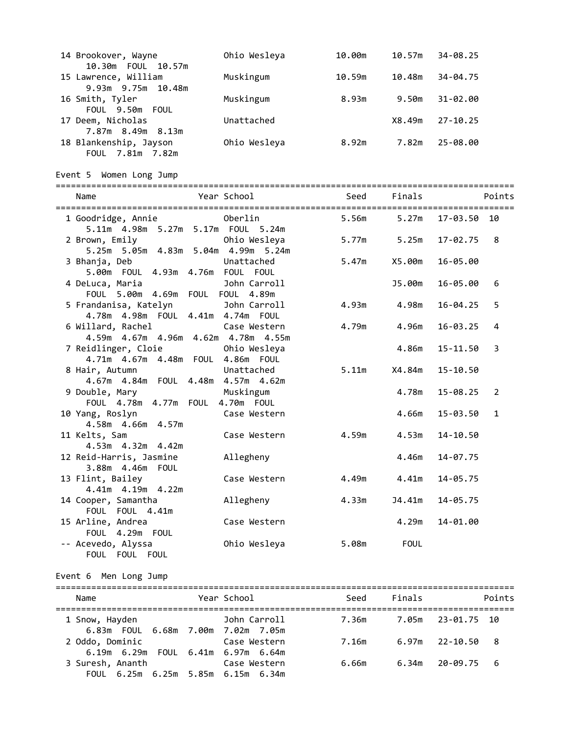| 14 Brookover, Wayne    | Ohio Wesleya | 10.00m | 10.57m | 34-08.25     |
|------------------------|--------------|--------|--------|--------------|
| 10.30m  FOUL  10.57m   |              |        |        |              |
| 15 Lawrence, William   | Muskingum    | 10.59m | 10.48m | 34-04.75     |
| 9.93m 9.75m 10.48m     |              |        |        |              |
| 16 Smith, Tyler        | Muskingum    | 8.93m  | 9.50m  | $31 - 02.00$ |
| FOUL 9.50m FOUL        |              |        |        |              |
| 17 Deem, Nicholas      | Unattached   |        | X8.49m | $27 - 10.25$ |
| 7.87m 8.49m<br>8.13m   |              |        |        |              |
| 18 Blankenship, Jayson | Ohio Wesleya | 8.92m  | 7.82m  | 25-08.00     |
| FOUL 7.81m 7.82m       |              |        |        |              |

Event 5 Women Long Jump

| Name                                                                                  | Year School               | Seed Finals |                 |                      | Points       |
|---------------------------------------------------------------------------------------|---------------------------|-------------|-----------------|----------------------|--------------|
| 1 Goodridge, Annie<br>5.11m  4.98m  5.27m  5.17m  FOUL  5.24m                         | Oberlin                   | 5.56m       | 5.27m           | 17-03.50 10          |              |
| 2 Brown, Emily<br>5.25m 5.05m 4.83m 5.04m 4.99m 5.24m                                 | Ohio Wesleya              | 5.77m       | 5.25m           | 17-02.75             | 8            |
| 3 Bhanja, Deb<br>5.00m  FOUL  4.93m  4.76m  FOUL  FOUL                                | Unattached                | 5.47m       | X5.00m          | 16-05.00             |              |
| 4 DeLuca, Maria<br>FOUL 5.00m 4.69m FOUL FOUL 4.89m                                   | John Carroll              |             | J5.00m          | 16-05.00             | 6            |
| 5 Frandanisa, Katelyn Machadon Dohn Carroll<br>4.78m  4.98m  FOUL  4.41m  4.74m  FOUL |                           | 4.93m       | 4.98m           | $16 - 04.25$         | 5            |
| 6 Willard, Rachel<br>4.59m  4.67m  4.96m  4.62m  4.78m  4.55m                         | Case Western              | 4.79m       | 4.96m           | $16 - 03.25$         | 4            |
| 7 Reidlinger, Cloie<br>4.71m  4.67m  4.48m  FOUL  4.86m  FOUL                         | Ohio Wesleya              |             | 4.86m           | 15-11.50             | 3            |
| 8 Hair, Autumn<br>4.67m  4.84m  FOUL  4.48m  4.57m  4.62m                             | Unattached                | 5.11m       | X4.84m          | 15-10.50             |              |
| 9 Double, Mary<br>FOUL 4.78m 4.77m FOUL 4.70m FOUL                                    | Muskingum                 |             | 4.78m           | 15-08.25             | 2            |
| 10 Yang, Roslyn Case Western<br>4.58m  4.66m  4.57m                                   |                           |             | 4.66m           | 15-03.50             | $\mathbf{1}$ |
| 11 Kelts, Sam<br>4.53m  4.32m  4.42m                                                  | Case Western              | 4.59m       | 4.53m           | 14-10.50             |              |
| 12 Reid-Harris, Jasmine<br>3.88m  4.46m  FOUL                                         | Allegheny                 | 4.49m       | 4.46m           | 14-07.75             |              |
| 13 Flint, Bailey<br>4.41m 4.19m 4.22m                                                 | Case Western              | 4.33m       | 4.41m<br>J4.41m | 14-05.75<br>14-05.75 |              |
| 14 Cooper, Samantha<br>FOUL FOUL 4.41m<br>15 Arline, Andrea                           | Allegheny<br>Case Western |             | 4.29m           | 14-01.00             |              |
| FOUL 4.29m FOUL<br>-- Acevedo, Alyssa                                                 | Ohio Wesleya              | 5.08m       | <b>FOUL</b>     |                      |              |
| FOUL FOUL FOUL                                                                        |                           |             |                 |                      |              |

## Event 6 Men Long Jump

| Name             | Year School                                                                                                                       | Seed  | Finals | Points            |
|------------------|-----------------------------------------------------------------------------------------------------------------------------------|-------|--------|-------------------|
| 1 Snow, Hayden   | <b>Example 19 Solid Donnal Donnal Discover 19 Served</b> 20 November 20 November 20 No<br>6.83m  FOUL  6.68m  7.00m  7.02m  7.05m | 7.36m |        | 7.05m 23-01.75 10 |
| 2 Oddo, Dominic  | Case Western<br>6.19m 6.29m FOUL 6.41m 6.97m 6.64m                                                                                | 7.16m |        | 6.97m 22-10.50 8  |
| 3 Suresh, Ananth | Case Western<br>FOUL 6.25m 6.25m 5.85m 6.15m 6.34m                                                                                | 6.66m |        | 6.34m 20-09.75 6  |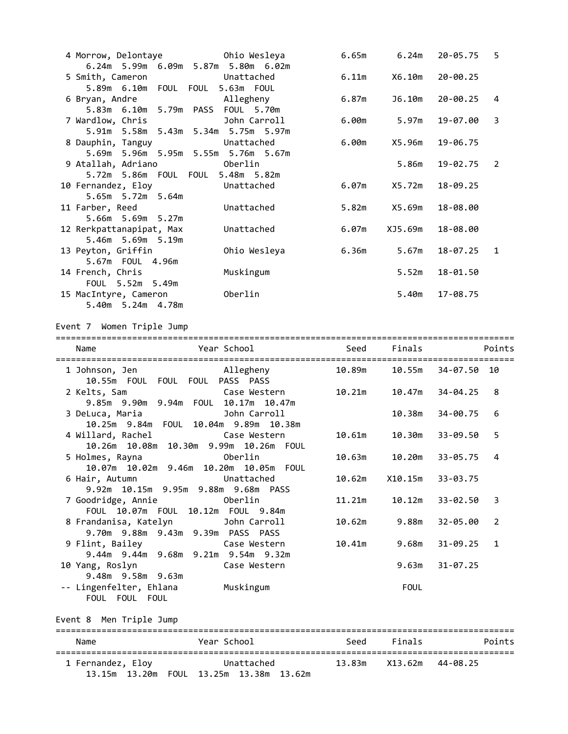| 4 Morrow, Delontaye <b>by Ohio Wesleya</b>   |                                     | 6.65m | 6.24m       | $20 - 05.75$ 5 |    |
|----------------------------------------------|-------------------------------------|-------|-------------|----------------|----|
|                                              | 6.24m 5.99m 6.09m 5.87m 5.80m 6.02m |       |             |                |    |
| 5 Smith, Cameron                             | Unattached                          | 6.11m | X6.10m      | $20 - 00.25$   |    |
| 5.89m 6.10m FOUL FOUL 5.63m FOUL             |                                     |       |             |                |    |
| 6 Bryan, Andre <b>Allegheny</b>              |                                     | 6.87m | J6.10m      | 20-00.25       | 4  |
| 5.83m 6.10m 5.79m PASS FOUL 5.70m            |                                     |       |             |                |    |
| 7 Wardlow, Chris                             | John Carroll                        |       | 6.00m 5.97m | 19-07.00       | 3  |
|                                              | 5.91m 5.58m 5.43m 5.34m 5.75m 5.97m |       |             |                |    |
| 8 Dauphin, Tanguy                            | Unattached                          | 6.00m | X5.96m      | 19-06.75       |    |
|                                              | 5.69m 5.96m 5.95m 5.55m 5.76m 5.67m |       |             |                |    |
| 9 Atallah, Adriano (Oberlin                  |                                     |       | 5.86m       | $19 - 02.75$ 2 |    |
| 5.72m 5.86m FOUL FOUL 5.48m 5.82m            |                                     |       |             |                |    |
| 10 Fernandez, Eloy <b>Elected</b> Unattached |                                     | 6.07m | X5.72m      | 18-09.25       |    |
| 5.65m 5.72m 5.64m                            |                                     |       |             |                |    |
| 11 Farber, Reed                              | Unattached                          | 5.82m | X5.69m      | 18-08.00       |    |
| 5.66m 5.69m 5.27m                            |                                     |       |             |                |    |
| 12 Rerkpattanapipat, Max                     | Unattached                          | 6.07m | XJ5.69m     | 18-08.00       |    |
| 5.46m 5.69m 5.19m                            |                                     |       |             |                |    |
| 13 Peyton, Griffin                           | Ohio Wesleya                        | 6.36m | 5.67m       | 18-07.25       | -1 |
| 5.67m FOUL 4.96m                             |                                     |       |             |                |    |
| 14 French, Chris                             | Muskingum                           |       | 5.52m       | 18-01.50       |    |
| FOUL 5.52m 5.49m                             |                                     |       |             |                |    |
| 15 MacIntyre, Cameron                        | Oberlin                             |       | 5.40m       | 17-08.75       |    |
| 5.40m 5.24m 4.78m                            |                                     |       |             |                |    |

Event 7 Women Triple Jump

| Year School<br>Name<br>===============================                                     |              | Seed   | Finals      |              | Points |
|--------------------------------------------------------------------------------------------|--------------|--------|-------------|--------------|--------|
| 1 Johnson, Jen Mallegheny<br>10.55m FOUL FOUL FOUL PASS PASS                               |              | 10.89m | 10.55m      | 34-07.50 10  |        |
| 2 Kelts, Sam<br>9.85m 9.90m 9.94m FOUL 10.17m 10.47m                                       | Case Western | 10.21m | 10.47m      | 34-04.25     | 8      |
| <b>Example 19</b> John Carroll<br>3 DeLuca, Maria<br>10.25m 9.84m FOUL 10.04m 9.89m 10.38m |              |        | 10.38m      | 34-00.75     | 6      |
| 4 Willard, Rachel Case Western<br>10.26m  10.08m  10.30m  9.99m  10.26m  FOUL              |              | 10.61m | 10.30m      | 33-09.50     | 5      |
| 5 Holmes, Rayna 600 berlin<br>10.07m  10.02m  9.46m  10.20m  10.05m  FOUL                  |              | 10.63m | 10.20m      | $33 - 05.75$ | 4      |
| Unattached<br>6 Hair, Autumn<br>9.92m 10.15m 9.95m 9.88m 9.68m PASS                        |              | 10.62m | X10.15m     | 33-03.75     |        |
| FOUL 10.07m  FOUL 10.12m  FOUL 9.84m                                                       |              | 11.21m | 10.12m      | 33-02.50     | 3      |
| 8 Frandanisa, Katelyn Macham John Carroll<br>9.70m 9.88m 9.43m 9.39m PASS PASS             |              | 10.62m | 9.88m       | 32-05.00     | 2      |
| 9 Flint, Bailey Case Western<br>9.44m 9.44m 9.68m 9.21m 9.54m 9.32m                        |              | 10.41m | 9.68m       | $31 - 09.25$ | 1      |
| 10 Yang, Roslyn<br><b>Case Western</b><br>9.48m 9.58m 9.63m                                |              |        | 9.63m       | $31 - 07.25$ |        |
| -- Lingenfelter, Ehlana<br>FOUL FOUL FOUL                                                  | Muskingum    |        | <b>FOUL</b> |              |        |

Event 8 Men Triple Jump

| Name              | Year School               | Seed | Finals  | Points   |  |  |
|-------------------|---------------------------|------|---------|----------|--|--|
| 1 Fernandez, Eloy | Unattached                |      | X13.62m | 44-08.25 |  |  |
|                   | FOUL 13.25m 13.38m 13.62m |      |         |          |  |  |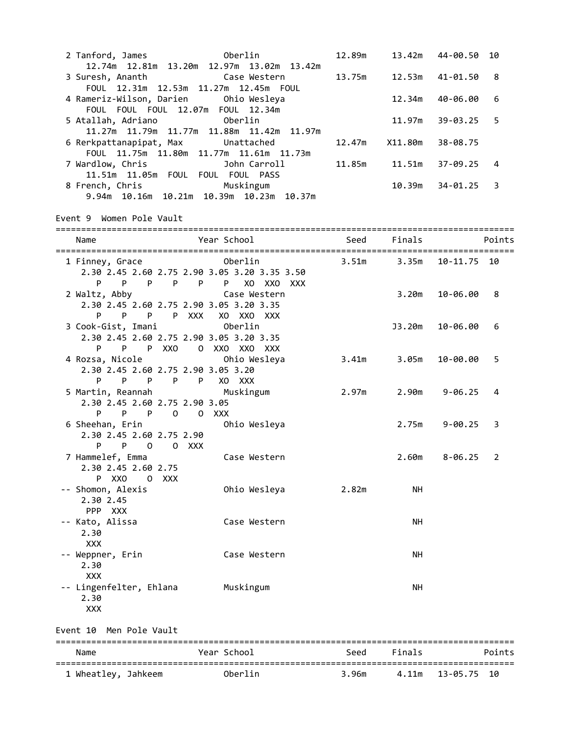| 2 Tanford, James 600 Oberlin                                                                                        |              | 12.89m | 13.42m  | 44-00.50          | 10     |
|---------------------------------------------------------------------------------------------------------------------|--------------|--------|---------|-------------------|--------|
| 12.74m  12.81m  13.20m  12.97m  13.02m  13.42m<br>3 Suresh, Ananth                                                  | Case Western | 13.75m | 12.53m  | 41-01.50          | 8      |
| FOUL 12.31m 12.53m 11.27m 12.45m FOUL<br>4 Rameriz-Wilson, Darien Ohio Wesleya<br>FOUL FOUL FOUL 12.07m FOUL 12.34m |              |        | 12.34m  | 40-06.00          | 6      |
| 5 Atallah, Adriano <b>berlin</b><br>11.27m 11.79m 11.77m 11.88m 11.42m 11.97m                                       |              |        | 11.97m  | 39-03.25          | 5      |
| 6 Rerkpattanapipat, Max Unattached<br>FOUL 11.75m 11.80m 11.77m 11.61m 11.73m                                       |              | 12.47m | X11.80m | 38-08.75          |        |
| 7 Wardlow, Chris <b>Bandlow</b> , Chris<br>11.51m 11.05m FOUL FOUL FOUL PASS                                        |              | 11.85m | 11.51m  | 37-09.25          | 4      |
| 8 French, Chris Muskingum<br>9.94m 10.16m 10.21m 10.39m 10.23m 10.37m                                               |              |        | 10.39m  | 34-01.25          | 3      |
| Event 9 Women Pole Vault                                                                                            |              |        |         |                   |        |
| Name                                                                                                                | Year School  | Seed   | Finals  |                   | Points |
| 1 Finney, Grace 6 - Oberlin<br>2.30 2.45 2.60 2.75 2.90 3.05 3.20 3.35 3.50<br>P P P P P P XO XXO XXX               |              | 3.51m  | 3.35m   | 10-11.75 10       |        |
| 2 Waltz, Abby Case Western<br>2.30 2.45 2.60 2.75 2.90 3.05 3.20 3.35<br>P P P P XXX XO XXO XXX                     |              |        | 3.20m   | 10-06.00          | 8      |
| <u>oberlin</u><br>3 Cook-Gist, Imani<br>2.30 2.45 2.60 2.75 2.90 3.05 3.20 3.35<br>P P P XXO O XXO XXO XXX          |              |        | J3.20m  | 10-06.00          | 6      |
| 4 Rozsa, Nicole <b>by Ohio Wesleya</b><br>2.30 2.45 2.60 2.75 2.90 3.05 3.20<br>P P P P XO XXX<br>P.                |              | 3.41m  | 3.05m   | 10-00.00          | 5      |
| 5 Martin, Reannah Muskingum<br>2.30 2.45 2.60 2.75 2.90 3.05<br>P P O O XXX<br>P                                    |              | 2.97m  |         | $2.90m$ $9-06.25$ | 4      |
| 6 Sheehan, Erin<br>2.30 2.45 2.60 2.75 2.90<br>P O O XXX                                                            | Ohio Wesleya |        |         | 2.75m 9-00.25     | 3      |
| 7 Hammelef, Emma<br>2.30 2.45 2.60 2.75<br>P XXO<br>0<br>xxx                                                        | Case Western |        |         | $2.60m$ $8-06.25$ | 2      |
| -- Shomon, Alexis<br>2.30 2.45<br>PPP XXX                                                                           | Ohio Wesleya | 2.82m  | NΗ      |                   |        |
| -- Kato, Alissa<br>2.30<br><b>XXX</b>                                                                               | Case Western |        | NΗ      |                   |        |
| -- Weppner, Erin<br>2.30<br><b>XXX</b>                                                                              | Case Western |        | NΗ      |                   |        |
| -- Lingenfelter, Ehlana<br>2.30<br><b>XXX</b>                                                                       | Muskingum    |        | NΗ      |                   |        |
| Event 10 Men Pole Vault                                                                                             |              |        |         |                   |        |
| Name                                                                                                                | Year School  | Seed   | Finals  |                   | Points |
| 1 Wheatley, Jahkeem                                                                                                 | Oberlin      | 3.96m  | 4.11m   | 13-05.75          | 10     |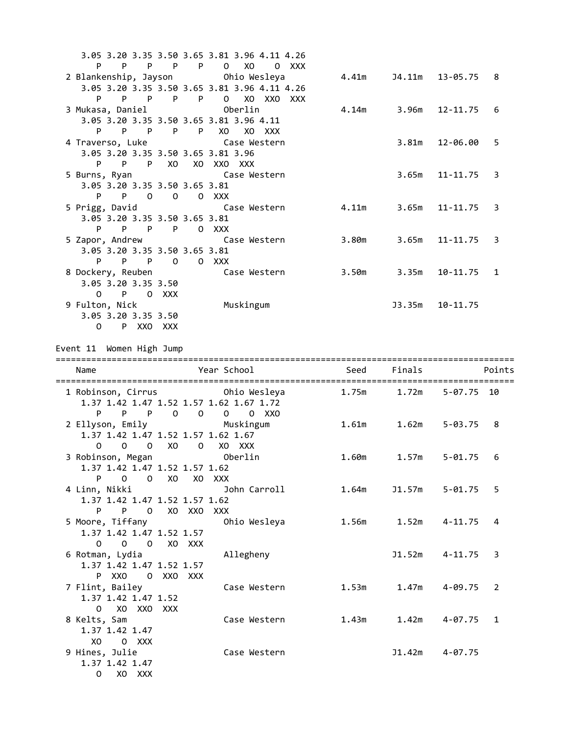|                                    |                   | 3.05 3.20 3.35 3.50 3.65 3.81 3.96 4.11 4.26 |             |        |                        |   |
|------------------------------------|-------------------|----------------------------------------------|-------------|--------|------------------------|---|
| P<br>$P$ $P$                       | $\mathsf{P}$<br>P | 0 XO O XXX                                   |             |        |                        |   |
| 2 Blankenship, Jayson Ohio Wesleya |                   |                                              | 4.41m       |        | J4.11m 13-05.75 8      |   |
|                                    |                   | 3.05 3.20 3.35 3.50 3.65 3.81 3.96 4.11 4.26 |             |        |                        |   |
| P<br>P P                           | P<br>$\mathsf{P}$ | 0 XO XXO XXX                                 |             |        |                        |   |
|                                    |                   |                                              |             |        | 4.14m 3.96m 12-11.75 6 |   |
|                                    |                   | 3.05 3.20 3.35 3.50 3.65 3.81 3.96 4.11      |             |        |                        |   |
| P<br>P P P                         |                   | P =<br>XO .<br>XO XXX                        |             |        |                        |   |
| 4 Traverso, Luke Case Western      |                   |                                              |             | 3.81m  | 12-06.00               | 5 |
| 3.05 3.20 3.35 3.50 3.65 3.81 3.96 |                   |                                              |             |        |                        |   |
| $\mathsf{P}$<br>P<br>P             | XO                | XO XXO XXX                                   |             |        |                        |   |
| 5 Burns, Ryan                      |                   | Case Western                                 |             | 3.65m  | $11 - 11.75$ 3         |   |
| 3.05 3.20 3.35 3.50 3.65 3.81      |                   |                                              |             |        |                        |   |
| P                                  | P O O O XXX       |                                              |             |        |                        |   |
| 5 Prigg, David                     |                   | Case Western                                 | 4.11m 3.65m |        | $11 - 11.75$ 3         |   |
| 3.05 3.20 3.35 3.50 3.65 3.81      |                   |                                              |             |        |                        |   |
| PPPP                               |                   | 0 XXX                                        |             |        |                        |   |
| 5 Zapor, Andrew Case Western       |                   |                                              | 3.80m 3.65m |        | $11 - 11.75$ 3         |   |
| 3.05 3.20 3.35 3.50 3.65 3.81      |                   |                                              |             |        |                        |   |
| P<br>P<br>P.                       | $\Omega$          | 0 XXX                                        |             |        |                        |   |
| 8 Dockery, Reuben Case Western     |                   |                                              | 3.50m 3.35m |        | $10-11.75$ 1           |   |
| 3.05 3.20 3.35 3.50                |                   |                                              |             |        |                        |   |
| $0$ P O XXX                        |                   |                                              |             |        |                        |   |
| 9 Fulton, Nick                     |                   | Muskingum                                    |             | J3.35m | 10-11.75               |   |
| 3.05 3.20 3.35 3.50                |                   |                                              |             |        |                        |   |
| $\Omega$<br>P XXO XXX              |                   |                                              |             |        |                        |   |

# Event 11 Women High Jump

| Name                                                                                                                                  | Year School                                                                                                                    | Seed  | Finals | Points                  |
|---------------------------------------------------------------------------------------------------------------------------------------|--------------------------------------------------------------------------------------------------------------------------------|-------|--------|-------------------------|
| 1 Robinson, Cirrus <b>Canada Contra Contra Chile</b> Ohio Wesleya<br>1.37 1.42 1.47 1.52 1.57 1.62 1.67 1.72                          |                                                                                                                                | 1.75m | 1.72m  | 5-07.75 10              |
| P<br>P<br>$\mathsf{P}$<br>$0\qquad 0$<br>2 Ellyson, Emily <b>Muskingum</b><br>1.37 1.42 1.47 1.52 1.57 1.62 1.67<br>0 0 0 X0 0 X0 XXX | 0<br>0 XXO                                                                                                                     | 1.61m | 1.62m  | 5-03.75<br>8            |
| 3 Robinson, Megan<br>1.37 1.42 1.47 1.52 1.57 1.62<br>$0 \times 0$<br>P <sub>2</sub><br>$\Omega$                                      | <u>oberlin Superang Disember 2014 and 2014 and 2014 and 2014 and 2014 and 2014 and 2014 and 2014 and 2014 and 20</u><br>XO XXX | 1.60m | 1.57m  | 5-01.75<br>6            |
| 4 Linn, Nikki<br>1.37 1.42 1.47 1.52 1.57 1.62<br>P O XO XXO XXX<br>P                                                                 | John Carroll                                                                                                                   | 1.64m |        | J1.57m 5-01.75<br>5     |
| 5 Moore, Tiffany <b>Sandar Company</b> Ohio Wesleya<br>1.37 1.42 1.47 1.52 1.57<br>0 0 0 XO XXX                                       |                                                                                                                                |       |        | 4                       |
| 6 Rotman, Lydia<br>1.37 1.42 1.47 1.52 1.57<br>P XXO O XXO XXX                                                                        | Allegheny                                                                                                                      |       |        | $J1.52m$ $4-11.75$<br>3 |
| 7 Flint, Bailey<br>1.37 1.42 1.47 1.52<br>0 XO XXO XXX                                                                                | Case Western                                                                                                                   | 1.53m |        | 1.47m   4-09.75<br>2    |
| 8 Kelts, Sam<br>1.37 1.42 1.47<br>XO XO<br>0 XXX                                                                                      | Case Western                                                                                                                   | 1.43m | 1.42m  | 4-07.75<br>1            |
| 9 Hines, Julie<br>1.37 1.42 1.47<br>$\Omega$<br>XO XXX                                                                                | Case Western                                                                                                                   |       | J1.42m | 4-07.75                 |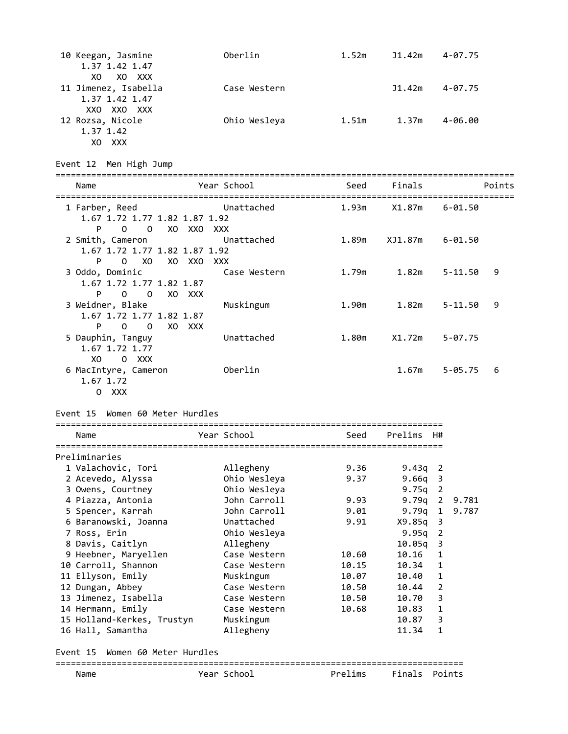| 10 Keegan, Jasmine   | Oberlin      | 1.52m | J1.42m | 4-07.75     |
|----------------------|--------------|-------|--------|-------------|
| 1.37 1.42 1.47       |              |       |        |             |
| XO XXX<br>XO.        |              |       |        |             |
| 11 Jimenez, Isabella | Case Western |       | J1.42m | $4 - 07.75$ |
| 1.37 1.42 1.47       |              |       |        |             |
| XXO XXO XXX          |              |       |        |             |
| 12 Rozsa, Nicole     | Ohio Wesleya | 1.51m | 1.37m  | $4 - 06.00$ |
| 1.37 1.42            |              |       |        |             |
| <b>XXX</b><br>X0     |              |       |        |             |

Event 12 Men High Jump

| Name                                                                                          | Year School         | Seed  | Finals  | Points           |
|-----------------------------------------------------------------------------------------------|---------------------|-------|---------|------------------|
| 1 Farber, Reed<br>1.67 1.72 1.77 1.82 1.87 1.92                                               | Unattached          | 1.93m | X1.87m  | 6-01.50          |
| $\Omega$<br>$\Omega$<br>XO XXO XXX<br>P.<br>2 Smith, Cameron<br>1.67 1.72 1.77 1.82 1.87 1.92 | Unattached          | 1.89m | XJ1.87m | 6-01.50          |
| XO<br>P<br>$\Omega$<br>XO XXO<br>3 Oddo, Dominic<br>1.67 1.72 1.77 1.82 1.87                  | XXX<br>Case Western | 1.79m | 1.82m   | 5-11.50<br>9     |
| P<br>$\Omega$<br>$\overline{O}$<br>XO XXX<br>3 Weidner, Blake<br>1.67 1.72 1.77 1.82 1.87     | Muskingum           | 1.90m | 1.82m   | 9<br>$5 - 11.50$ |
| P<br>$\Omega$<br>$\Omega$<br>XO.<br>xxx<br>5 Dauphin, Tanguy<br>1.67 1.72 1.77                | Unattached          | 1.80m | X1.72m  | $5 - 07.75$      |
| XO<br>0 XXX<br>6 MacIntyre, Cameron<br>1.67 1.72<br>0 XXX                                     | Oberlin             |       | 1.67m   | $5 - 05.75$<br>6 |

### Event 15 Women 60 Meter Hurdles

|  | Name                               |  | Year School  | Seed  | Prelims    | H#             |               |
|--|------------------------------------|--|--------------|-------|------------|----------------|---------------|
|  |                                    |  |              |       |            |                |               |
|  | Preliminaries                      |  |              |       |            |                |               |
|  | 1 Valachovic, Tori                 |  | Allegheny    | 9.36  | $9.43q$ 2  |                |               |
|  | 2 Acevedo, Alyssa                  |  | Ohio Wesleya | 9.37  | $9.66q$ 3  |                |               |
|  | 3 Owens, Courtney                  |  | Ohio Wesleya |       | $9.75q$ 2  |                |               |
|  | 4 Piazza, Antonia                  |  | John Carroll | 9.93  | $9.79q$ 2  |                | 9.781         |
|  | 5 Spencer, Karrah                  |  | John Carroll | 9.01  |            |                | 9.79g 1 9.787 |
|  | 6 Baranowski, Joanna               |  | Unattached   | 9.91  | $X9.85q$ 3 |                |               |
|  | 7 Ross, Erin                       |  | Ohio Wesleya |       | $9.95q$ 2  |                |               |
|  | 8 Davis, Caitlyn                   |  | Allegheny    |       | $10.05q$ 3 |                |               |
|  | 9 Heebner, Maryellen               |  | Case Western | 10.60 | 10.16      | 1              |               |
|  | 10 Carroll, Shannon                |  | Case Western | 10.15 | 10.34      | 1              |               |
|  | 11 Ellyson, Emily                  |  | Muskingum    | 10.07 | 10.40      | $\mathbf{1}$   |               |
|  | 12 Dungan, Abbey                   |  | Case Western | 10.50 | 10.44      | $\overline{2}$ |               |
|  | 13 Jimenez, Isabella               |  | Case Western | 10.50 | 10.70      | 3              |               |
|  | 14 Hermann, Emily                  |  | Case Western | 10.68 | 10.83      | 1              |               |
|  | 15 Holland-Kerkes, Trustyn         |  | Muskingum    |       | 10.87      | 3              |               |
|  | 16 Hall, Samantha                  |  | Allegheny    |       | 11.34      | 1              |               |
|  | Women 60 Meter Hurdles<br>Event 15 |  |              |       |            |                |               |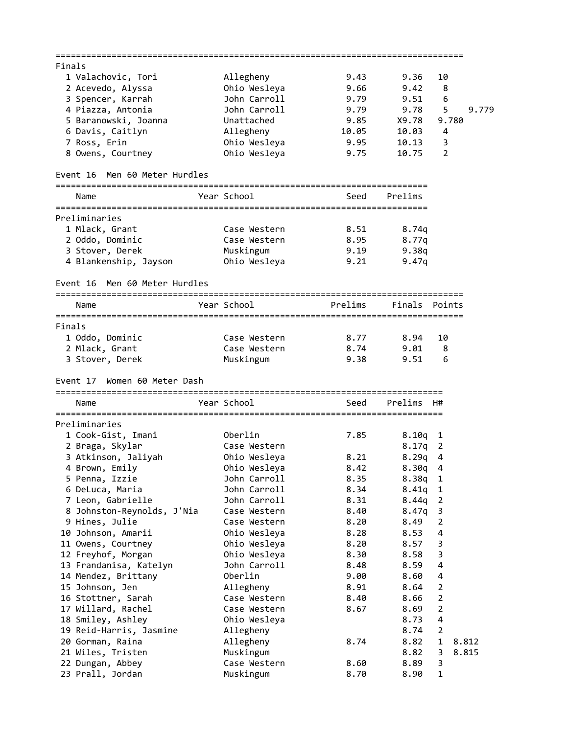|        |                                      |              | --------------------------------- |           |                |       |
|--------|--------------------------------------|--------------|-----------------------------------|-----------|----------------|-------|
| Finals |                                      |              |                                   |           |                |       |
|        | 1 Valachovic, Tori                   | Allegheny    | 9.43                              | 9.36      | 10             |       |
|        | 2 Acevedo, Alyssa                    | Ohio Wesleya | 9.66                              | 9.42      | 8              |       |
|        | 3 Spencer, Karrah                    | John Carroll | 9.79                              | 9.51      | 6              |       |
|        | 4 Piazza, Antonia                    | John Carroll | 9.79                              | 9.78      | 5              | 9.779 |
|        | 5 Baranowski, Joanna                 | Unattached   | 9.85                              | X9.78     | 9.780          |       |
|        | 6 Davis, Caitlyn                     | Allegheny    | 10.05                             | 10.03     | 4              |       |
|        | 7 Ross, Erin                         | Ohio Wesleya | 9.95                              | 10.13     | 3              |       |
|        | 8 Owens, Courtney                    | Ohio Wesleya | 9.75                              | 10.75     | $\overline{2}$ |       |
|        |                                      |              |                                   |           |                |       |
|        | Event 16 Men 60 Meter Hurdles        |              |                                   |           |                |       |
|        | Name                                 | Year School  | Seed                              | Prelims   |                |       |
|        | Preliminaries                        |              |                                   |           |                |       |
|        |                                      | Case Western | 8.51                              |           |                |       |
|        | 1 Mlack, Grant                       |              |                                   | 8.74q     |                |       |
|        | 2 Oddo, Dominic                      | Case Western | 8.95                              | 8.77q     |                |       |
|        | 3 Stover, Derek                      | Muskingum    | 9.19                              | 9.38q     |                |       |
|        | 4 Blankenship, Jayson                | Ohio Wesleya | 9.21                              | 9.47q     |                |       |
|        | Men 60 Meter Hurdles<br>Event 16     |              |                                   |           |                |       |
|        | Name                                 | Year School  | Prelims                           | Finals    | Points         |       |
|        |                                      |              |                                   |           |                |       |
| Finals |                                      |              |                                   |           |                |       |
|        | 1 Oddo, Dominic                      | Case Western | 8.77                              | 8.94      | 10             |       |
|        | 2 Mlack, Grant                       | Case Western | 8.74                              | 9.01      | 8              |       |
|        | 3 Stover, Derek                      | Muskingum    | 9.38                              | 9.51      | 6              |       |
|        |                                      |              |                                   |           |                |       |
|        |                                      |              |                                   |           |                |       |
|        | Women 60 Meter Dash<br>Event 17      |              |                                   |           |                |       |
|        | Name                                 | Year School  | Seed                              | Prelims   | H#             |       |
|        |                                      |              |                                   |           |                |       |
|        | Preliminaries                        |              |                                   |           |                |       |
|        | 1 Cook-Gist, Imani                   | Oberlin      | 7.85                              | 8.10q     | $\mathbf{1}$   |       |
|        | 2 Braga, Skylar                      | Case Western |                                   | 8.17q     | 2              |       |
|        | 3 Atkinson, Jaliyah                  | Ohio Wesleya | 8.21                              | 8.29q     | 4              |       |
|        | 4 Brown, Emily                       | Ohio Wesleya | 8.42                              | $8.30q$ 4 |                |       |
|        | 5 Penna, Izzie                       | John Carroll | 8.35                              | 8.38q     | $\mathbf 1$    |       |
|        | 6 DeLuca, Maria                      | John Carroll | 8.34                              | 8.41q     | 1              |       |
|        | 7 Leon, Gabrielle                    | John Carroll | 8.31                              | 8.44q     | 2              |       |
|        | 8 Johnston-Reynolds, J'Nia           | Case Western | 8.40                              | 8.47q     | 3              |       |
|        | 9 Hines, Julie                       | Case Western | 8.20                              | 8.49      | $\overline{2}$ |       |
|        | 10 Johnson, Amarii                   | Ohio Wesleya | 8.28                              | 8.53      | 4              |       |
|        | 11 Owens, Courtney                   | Ohio Wesleya | 8.20                              | 8.57      | 3              |       |
|        |                                      | Ohio Wesleya | 8.30                              | 8.58      | 3              |       |
|        | 12 Freyhof, Morgan                   |              |                                   |           |                |       |
|        | 13 Frandanisa, Katelyn               | John Carroll | 8.48                              | 8.59      | 4              |       |
|        | 14 Mendez, Brittany                  | Oberlin      | 9.00                              | 8.60      | 4              |       |
|        | 15 Johnson, Jen                      | Allegheny    | 8.91                              | 8.64      | 2              |       |
|        | 16 Stottner, Sarah                   | Case Western | 8.40                              | 8.66      | 2              |       |
|        | 17 Willard, Rachel                   | Case Western | 8.67                              | 8.69      | $\mathbf{2}$   |       |
|        | 18 Smiley, Ashley                    | Ohio Wesleya |                                   | 8.73      | 4              |       |
|        | 19 Reid-Harris, Jasmine              | Allegheny    |                                   | 8.74      | 2              |       |
|        | 20 Gorman, Raina                     | Allegheny    | 8.74                              | 8.82      | 1<br>8.812     |       |
|        | 21 Wiles, Tristen                    | Muskingum    |                                   | 8.82      | 8.815<br>3     |       |
|        | 22 Dungan, Abbey<br>23 Prall, Jordan | Case Western | 8.60                              | 8.89      | 3              |       |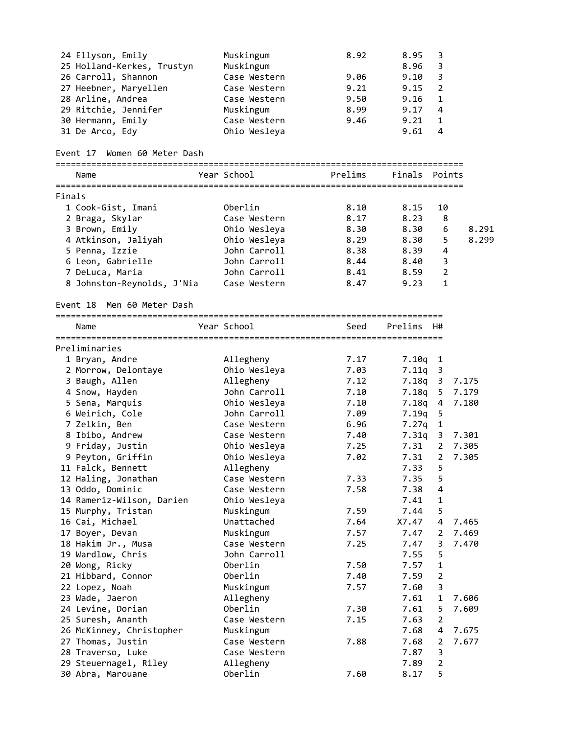|        | 24 Ellyson, Emily<br>25 Holland-Kerkes, Trustyn<br>26 Carroll, Shannon<br>27 Heebner, Maryellen<br>28 Arline, Andrea<br>29 Ritchie, Jennifer<br>30 Hermann, Emily<br>31 De Arco, Edy | Muskingum<br>Muskingum<br>Case Western<br>Case Western<br>Case Western<br>Muskingum<br>Case Western<br>Ohio Wesleya | 8.92<br>9.06<br>9.21<br>9.50<br>8.99<br>9.46 | 8.95<br>8.96<br>9.10<br>9.15<br>9.16<br>9.17<br>9.21<br>9.61 | 3<br>3<br>$\mathsf 3$<br>$\overline{2}$<br>$\mathbf{1}$<br>4<br>$\mathbf{1}$<br>4 |       |
|--------|--------------------------------------------------------------------------------------------------------------------------------------------------------------------------------------|---------------------------------------------------------------------------------------------------------------------|----------------------------------------------|--------------------------------------------------------------|-----------------------------------------------------------------------------------|-------|
|        | Women 60 Meter Dash<br>Event 17                                                                                                                                                      |                                                                                                                     |                                              |                                                              |                                                                                   |       |
|        | Name                                                                                                                                                                                 | Year School                                                                                                         | Prelims                                      | Finals                                                       | Points                                                                            |       |
| Finals |                                                                                                                                                                                      |                                                                                                                     |                                              |                                                              |                                                                                   |       |
|        | 1 Cook-Gist, Imani                                                                                                                                                                   | Oberlin                                                                                                             | 8.10                                         | 8.15                                                         | 10                                                                                |       |
|        | 2 Braga, Skylar                                                                                                                                                                      | Case Western                                                                                                        | 8.17                                         | 8.23                                                         | 8                                                                                 |       |
|        | 3 Brown, Emily                                                                                                                                                                       | Ohio Wesleya                                                                                                        | 8.30                                         | 8.30                                                         | 6                                                                                 | 8.291 |
|        | 4 Atkinson, Jaliyah                                                                                                                                                                  | Ohio Wesleya                                                                                                        | 8.29                                         | 8.30                                                         | 5                                                                                 | 8.299 |
|        | 5 Penna, Izzie                                                                                                                                                                       | John Carroll                                                                                                        | 8.38                                         | 8.39                                                         | 4                                                                                 |       |
|        | 6 Leon, Gabrielle                                                                                                                                                                    | John Carroll                                                                                                        | 8.44                                         | 8.40                                                         | 3                                                                                 |       |
|        | 7 DeLuca, Maria                                                                                                                                                                      | John Carroll                                                                                                        | 8.41                                         | 8.59                                                         | 2                                                                                 |       |
|        | 8 Johnston-Reynolds, J'Nia                                                                                                                                                           | Case Western                                                                                                        | 8.47                                         | 9.23                                                         | $\mathbf{1}$                                                                      |       |
|        | Event 18<br>Men 60 Meter Dash                                                                                                                                                        |                                                                                                                     |                                              |                                                              |                                                                                   |       |
|        | Name                                                                                                                                                                                 | Year School                                                                                                         | Seed                                         | Prelims                                                      | H#                                                                                |       |
|        |                                                                                                                                                                                      |                                                                                                                     |                                              |                                                              |                                                                                   |       |
|        | Preliminaries                                                                                                                                                                        |                                                                                                                     |                                              |                                                              |                                                                                   |       |
|        | 1 Bryan, Andre                                                                                                                                                                       | Allegheny                                                                                                           | 7.17                                         | 7.10q                                                        | $\mathbf{1}$                                                                      |       |
|        | 2 Morrow, Delontaye                                                                                                                                                                  | Ohio Wesleya                                                                                                        | 7.03                                         | 7.11q                                                        | 3                                                                                 |       |
|        | 3 Baugh, Allen                                                                                                                                                                       | Allegheny                                                                                                           | 7.12                                         | 7.18q                                                        | $\overline{3}$                                                                    | 7.175 |
|        | 4 Snow, Hayden                                                                                                                                                                       | John Carroll                                                                                                        | 7.10                                         | 7.18q                                                        | 5                                                                                 | 7.179 |
|        | 5 Sena, Marquis<br>6 Weirich, Cole                                                                                                                                                   | Ohio Wesleya<br>John Carroll                                                                                        | 7.10                                         | 7.18q                                                        | 4                                                                                 | 7.180 |
|        |                                                                                                                                                                                      | Case Western                                                                                                        | 7.09<br>6.96                                 | 7.19q                                                        | 5<br>$\mathbf{1}$                                                                 |       |
|        | 7 Zelkin, Ben                                                                                                                                                                        | Case Western                                                                                                        | 7.40                                         | 7.27q<br>7.31q                                               | 3                                                                                 | 7.301 |
|        | 8 Ibibo, Andrew<br>9 Friday, Justin                                                                                                                                                  | Ohio Wesleya                                                                                                        | 7.25                                         | 7.31                                                         | $\mathbf{2}$                                                                      | 7.305 |
|        | 9 Peyton, Griffin                                                                                                                                                                    | Ohio Wesleya                                                                                                        | 7.02                                         | 7.31                                                         | $2^{\circ}$                                                                       | 7.305 |
|        | 11 Falck, Bennett                                                                                                                                                                    | Allegheny                                                                                                           |                                              | 7.33                                                         | 5                                                                                 |       |
|        | 12 Haling, Jonathan                                                                                                                                                                  | Case Western                                                                                                        | 7.33                                         | 7.35                                                         | 5                                                                                 |       |
|        | 13 Oddo, Dominic                                                                                                                                                                     | Case Western                                                                                                        | 7.58                                         | 7.38                                                         | 4                                                                                 |       |
|        | 14 Rameriz-Wilson, Darien                                                                                                                                                            | Ohio Wesleya                                                                                                        |                                              | 7.41                                                         | $\mathbf 1$                                                                       |       |
|        | 15 Murphy, Tristan                                                                                                                                                                   | Muskingum                                                                                                           | 7.59                                         | 7.44                                                         | 5                                                                                 |       |
|        | 16 Cai, Michael                                                                                                                                                                      | Unattached                                                                                                          | 7.64                                         | X7.47                                                        | 4                                                                                 | 7.465 |
|        | 17 Boyer, Devan                                                                                                                                                                      | Muskingum                                                                                                           | 7.57                                         | 7.47                                                         | 2                                                                                 | 7.469 |
|        | 18 Hakim Jr., Musa                                                                                                                                                                   | Case Western                                                                                                        | 7.25                                         | 7.47                                                         | 3                                                                                 | 7.470 |
|        | 19 Wardlow, Chris                                                                                                                                                                    | John Carroll                                                                                                        |                                              | 7.55                                                         | 5                                                                                 |       |
|        | 20 Wong, Ricky                                                                                                                                                                       | Oberlin                                                                                                             | 7.50                                         | 7.57                                                         | $\mathbf 1$                                                                       |       |
|        | 21 Hibbard, Connor                                                                                                                                                                   | Oberlin                                                                                                             | 7.40                                         | 7.59                                                         | $\overline{2}$                                                                    |       |
|        | 22 Lopez, Noah                                                                                                                                                                       | Muskingum                                                                                                           | 7.57                                         | 7.60                                                         | 3                                                                                 |       |
|        | 23 Wade, Jaeron                                                                                                                                                                      | Allegheny                                                                                                           |                                              | 7.61                                                         | $\mathbf{1}$                                                                      | 7.606 |
|        | 24 Levine, Dorian                                                                                                                                                                    | Oberlin                                                                                                             | 7.30                                         | 7.61                                                         | 5                                                                                 | 7.609 |
|        | 25 Suresh, Ananth                                                                                                                                                                    | Case Western                                                                                                        | 7.15                                         | 7.63                                                         | $\overline{2}$                                                                    |       |
|        | 26 McKinney, Christopher                                                                                                                                                             | Muskingum                                                                                                           |                                              | 7.68                                                         | 4                                                                                 | 7.675 |
|        | 27 Thomas, Justin                                                                                                                                                                    | Case Western                                                                                                        | 7.88                                         | 7.68                                                         | 2                                                                                 | 7.677 |
|        | 28 Traverso, Luke                                                                                                                                                                    | Case Western                                                                                                        |                                              | 7.87                                                         | 3                                                                                 |       |
|        | 29 Steuernagel, Riley                                                                                                                                                                | Allegheny                                                                                                           |                                              | 7.89                                                         | $\overline{2}$                                                                    |       |
|        | 30 Abra, Marouane                                                                                                                                                                    | Oberlin                                                                                                             | 7.60                                         | 8.17                                                         | 5                                                                                 |       |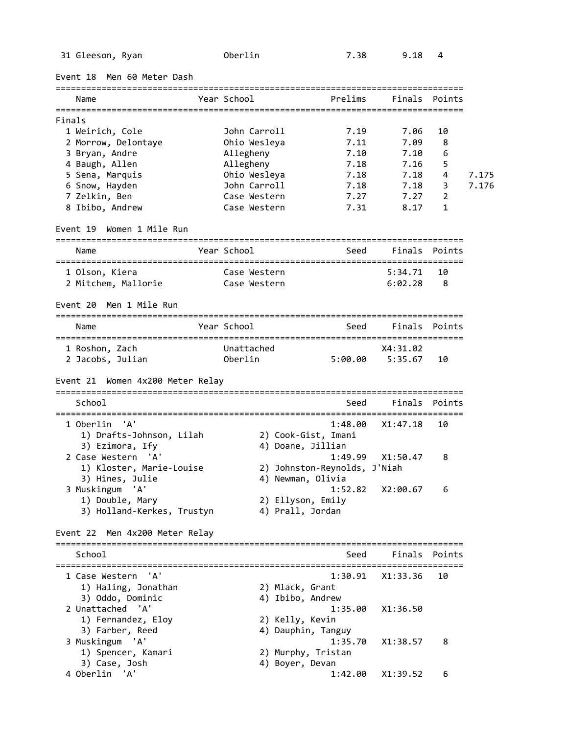31 Gleeson, Ryan Oberlin 7.38 9.18 4

| Event 18 Men 60 Meter Dash                                      |                       |                                          |         |                                   |               |       |
|-----------------------------------------------------------------|-----------------------|------------------------------------------|---------|-----------------------------------|---------------|-------|
| Name                                                            | Year School           |                                          | Prelims | Finals                            | Points        |       |
| Finals                                                          |                       |                                          |         |                                   |               |       |
| 1 Weirich, Cole                                                 | John Carroll          |                                          | 7.19    | 7.06                              | 10            |       |
| 2 Morrow, Delontaye                                             | Ohio Wesleya          |                                          | 7.11    | 7.09                              | 8             |       |
| 3 Bryan, Andre                                                  | Allegheny             |                                          | 7.10    | 7.10                              | 6             |       |
| 4 Baugh, Allen                                                  | Allegheny             |                                          | 7.18    | 7.16                              | 5             |       |
| 5 Sena, Marquis                                                 | Ohio Wesleya          |                                          | 7.18    | 7.18                              | 4             | 7.175 |
| 6 Snow, Hayden                                                  | John Carroll          |                                          | 7.18    | 7.18                              | 3             | 7.176 |
| 7 Zelkin, Ben                                                   | Case Western          |                                          | 7.27    | 7.27                              | 2             |       |
| 8 Ibibo, Andrew                                                 | Case Western          |                                          | 7.31    | 8.17                              | 1             |       |
| Women 1 Mile Run<br>Event 19                                    |                       |                                          |         |                                   |               |       |
| Name                                                            | Year School           |                                          | Seed    | Finals                            | Points        |       |
|                                                                 |                       |                                          |         |                                   |               |       |
| 1 Olson, Kiera                                                  | Case Western          |                                          |         | 5:34.71                           | 10            |       |
| 2 Mitchem, Mallorie                                             | Case Western          |                                          |         | 6:02.28                           | 8             |       |
| Event 20 Men 1 Mile Run                                         |                       |                                          |         |                                   |               |       |
| Name                                                            | Year School           |                                          | Seed    | Finals                            | Points        |       |
|                                                                 |                       |                                          |         |                                   |               |       |
| 1 Roshon, Zach<br>2 Jacobs, Julian                              | Unattached<br>Oberlin |                                          | 5:00.00 | X4:31.02<br>5:35.67               | 10            |       |
|                                                                 |                       |                                          |         |                                   |               |       |
| Event 21 Women 4x200 Meter Relay                                |                       |                                          |         | ================================= |               |       |
| School                                                          |                       |                                          | Seed    | Finals                            | Points        |       |
| 1 Oberlin<br>'A'<br>1) Drafts-Johnson, Lilah<br>3) Ezimora, Ify |                       | 2) Cook-Gist, Imani<br>4) Doane, Jillian | 1:48.00 | X1:47.18                          | 10            |       |
| 2 Case Western 'A'<br>1) Kloster, Marie-Louise                  |                       | 2) Johnston-Reynolds, J'Niah             | 1:49.99 | X1:50.47                          | 8             |       |
| 3) Hines, Julie<br>3 Muskingum 'A'                              |                       | 4) Newman, Olivia                        | 1:52.82 | X2:00.67                          | 6             |       |
| 1) Double, Mary<br>3) Holland-Kerkes, Trustyn                   |                       | 2) Ellyson, Emily<br>4) Prall, Jordan    |         |                                   |               |       |
| Event 22 Men 4x200 Meter Relay                                  |                       |                                          |         |                                   |               |       |
| School                                                          |                       |                                          | Seed    |                                   | Finals Points |       |
| 'A'<br>1 Case Western                                           |                       |                                          | 1:30.91 | X1:33.36                          | 10            |       |
| 1) Haling, Jonathan                                             |                       | 2) Mlack, Grant                          |         |                                   |               |       |
| 3) Oddo, Dominic                                                |                       | 4) Ibibo, Andrew                         |         |                                   |               |       |
| 2 Unattached 'A'                                                |                       |                                          | 1:35.00 | X1:36.50                          |               |       |
| 1) Fernandez, Eloy                                              |                       | 2) Kelly, Kevin                          |         |                                   |               |       |
| 3) Farber, Reed                                                 |                       | 4) Dauphin, Tanguy                       |         |                                   |               |       |
| 3 Muskingum 'A'                                                 |                       |                                          | 1:35.70 | X1:38.57                          | 8             |       |
|                                                                 |                       |                                          |         |                                   |               |       |
| 1) Spencer, Kamari                                              |                       | 2) Murphy, Tristan                       |         |                                   |               |       |
| 3) Case, Josh                                                   |                       | 4) Boyer, Devan                          |         |                                   |               |       |
| 4 Oberlin 'A'                                                   |                       |                                          | 1:42.00 | X1:39.52                          | 6             |       |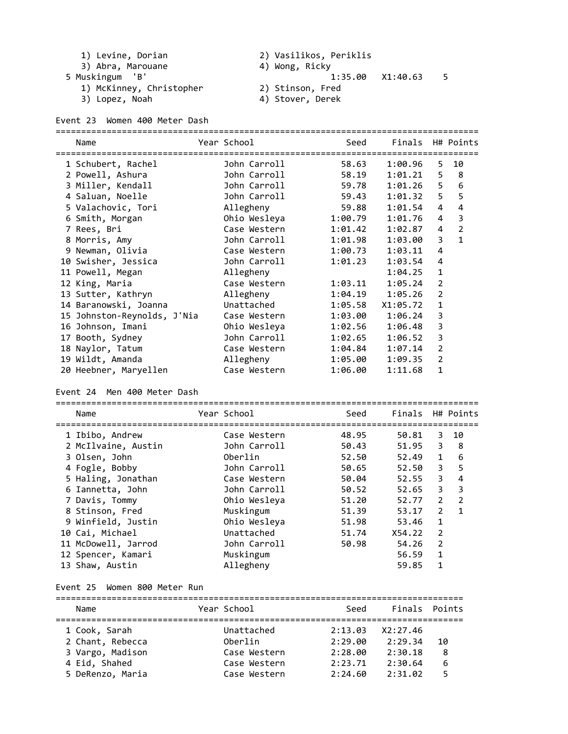| 1) | Levine, | Dorian |
|----|---------|--------|
|    |         |        |

3) Abra, Marouane (4) Wong, Ricky

5 Muskingum 'B' 1:35.00 X1:40.63 5

1) McKinney, Christopher 2) Stinson, Fred

1) Levine, Dorian 2) Vasilikos, Periklis

Event 23 Women 400 Meter Dash

| 3) Lopez, Noah | 4) Stover, Derek |
|----------------|------------------|
|----------------|------------------|

|   | Name                        | Year School  | Seed    | Finals H# Points |                |                |
|---|-----------------------------|--------------|---------|------------------|----------------|----------------|
|   |                             |              |         |                  |                |                |
|   | 1 Schubert, Rachel          | John Carroll | 58.63   | 1:00.96          | 5.             | 10             |
|   | 2 Powell, Ashura            | John Carroll | 58.19   | 1:01.21          | 5              | 8              |
|   | 3 Miller, Kendall           | John Carroll | 59.78   | 1:01.26          | 5              | 6              |
|   | 4 Saluan, Noelle            | John Carroll | 59.43   | 1:01.32          | 5              | 5              |
|   | 5 Valachovic, Tori          | Allegheny    | 59.88   | 1:01.54          | 4              | 4              |
|   | 6 Smith, Morgan             | Ohio Wesleya | 1:00.79 | 1:01.76          | 4              | 3              |
|   | 7 Rees, Bri                 | Case Western | 1:01.42 | 1:02.87          | 4              | $\overline{2}$ |
| 8 | Morris, Amy                 | John Carroll | 1:01.98 | 1:03.00          | 3              | $\mathbf{1}$   |
|   | 9 Newman, Olivia            | Case Western | 1:00.73 | 1:03.11          | 4              |                |
|   | 10 Swisher, Jessica         | John Carroll | 1:01.23 | 1:03.54          | 4              |                |
|   | 11 Powell, Megan            | Allegheny    |         | 1:04.25          | 1              |                |
|   | 12 King, Maria              | Case Western | 1:03.11 | 1:05.24          | $\overline{2}$ |                |
|   | 13 Sutter, Kathryn          | Allegheny    | 1:04.19 | 1:05.26          | $\overline{2}$ |                |
|   | 14 Baranowski, Joanna       | Unattached   | 1:05.58 | X1:05.72         | 1              |                |
|   | 15 Johnston-Reynolds, J'Nia | Case Western | 1:03.00 | 1:06.24          | 3              |                |
|   | 16 Johnson, Imani           | Ohio Wesleya | 1:02.56 | 1:06.48          | 3              |                |
|   | 17 Booth, Sydney            | John Carroll | 1:02.65 | 1:06.52          | 3              |                |
|   | 18 Naylor, Tatum            | Case Western | 1:04.84 | 1:07.14          | $\overline{2}$ |                |
|   | 19 Wildt, Amanda            | Allegheny    | 1:05.00 | 1:09.35          | $\overline{2}$ |                |
|   | 20 Heebner, Maryellen       | Case Western | 1:06.00 | 1:11.68          | 1              |                |
|   |                             |              |         |                  |                |                |

Event 24 Men 400 Meter Dash

| Name                | Year School  | Seed  | Finals H# Points |                |                |
|---------------------|--------------|-------|------------------|----------------|----------------|
|                     |              |       |                  |                |                |
| 1 Ibibo, Andrew     | Case Western | 48.95 | 50.81            | 3              | 10             |
| 2 McIlvaine, Austin | John Carroll | 50.43 | 51.95            | 3              | - 8            |
| 3 Olsen, John       | Oberlin      | 52.50 | 52.49            | $\mathbf{1}$   | 6              |
| 4 Fogle, Bobby      | John Carroll | 50.65 | 52.50            | 3              | 5              |
| 5 Haling, Jonathan  | Case Western | 50.04 | 52.55            | $\overline{3}$ | 4              |
| 6 Iannetta, John    | John Carroll | 50.52 | 52.65            | 3              | 3              |
| 7 Davis, Tommy      | Ohio Wesleya | 51.20 | 52.77            | $\overline{2}$ | $\overline{2}$ |
| 8 Stinson, Fred     | Muskingum    | 51.39 | 53.17            | $\overline{2}$ | $\mathbf{1}$   |
| 9 Winfield, Justin  | Ohio Wesleya | 51.98 | 53.46            | 1              |                |
| 10 Cai, Michael     | Unattached   | 51.74 | X54.22           | $\overline{2}$ |                |
| 11 McDowell, Jarrod | John Carroll | 50.98 | 54.26            | $\overline{2}$ |                |
| 12 Spencer, Kamari  | Muskingum    |       | 56.59            | 1              |                |
| 13 Shaw, Austin     | Allegheny    |       | 59.85            | 1              |                |

## Event 25 Women 800 Meter Run

| Name             | Year School  | Seed    | Finals Points |    |
|------------------|--------------|---------|---------------|----|
|                  |              |         |               |    |
| 1 Cook, Sarah    | Unattached   | 2:13.03 | X2:27.46      |    |
| 2 Chant, Rebecca | Oberlin      | 2:29.00 | 2:29.34       | 10 |
| 3 Vargo, Madison | Case Western | 2:28.00 | 2:30.18       | 8  |
| 4 Eid, Shahed    | Case Western | 2:23.71 | 2:30.64       | 6  |
| 5 DeRenzo, Maria | Case Western | 2:24.60 | 2:31.02       | 5  |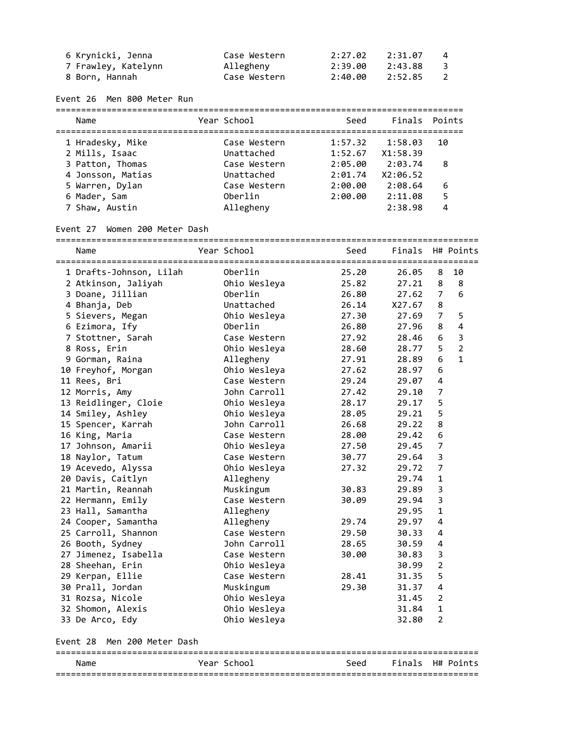| 6 Krynicki, Jenna   | Case Western | 2:27.02 | 2:31.07 | -4                      |
|---------------------|--------------|---------|---------|-------------------------|
| 7 Frawley, Katelynn | Allegheny    | 2:39.00 | 2:43.88 | $\overline{\mathbf{3}}$ |
| 8 Born, Hannah      | Case Western | 2:40.00 | 2:52.85 | $\overline{2}$          |

Event 26 Men 800 Meter Run

| Name                                  | Year School                | Seed               | Finals Points       |    |
|---------------------------------------|----------------------------|--------------------|---------------------|----|
| 1 Hradesky, Mike<br>2 Mills, Isaac    | Case Western<br>Unattached | 1:57.32<br>1:52.67 | 1:58.03<br>X1:58.39 | 10 |
| 3 Patton, Thomas<br>4 Jonsson, Matias | Case Western<br>Unattached | 2:05.00<br>2:01.74 | 2:03.74<br>X2:06.52 | 8  |
| 5 Warren, Dylan                       | Case Western               | 2:00.00            | 2:08.64             | 6  |
| 6 Mader, Sam                          | Oberlin                    | 2:00.00            | 2:11.08             | 5  |
| 7 Shaw, Austin                        | Allegheny                  |                    | 2:38.98             | 4  |

#### Event 27 Women 200 Meter Dash

=================================================================================== Name The Year School Seed Finals H# Points =================================================================================== 1 DraftsJohnson, Lilah Oberlin 25.20 26.05 8 10 2 Atkinson, Jaliyah Ohio Wesleya 25.82 27.21 8 8 3 Doane, Jillian Oberlin 26.80 27.62 7 6 4 Bhanja, Deb Unattached 26.14 X27.67 8 5 Sievers, Megan Ohio Wesleya 27.30 27.69 7 5 6 Ezimora, Ify Oberlin 26.80 27.96 8 4 7 Stottner, Sarah Case Western 27.92 28.46 6 3 8 Ross, Erin Ohio Wesleya 28.60 28.77 5 2 9 Gorman, Raina Allegheny 27.91 28.89 6 1 10 Freyhof, Morgan Ohio Wesleya 27.62 28.97 6 11 Rees, Bri Case Western 29.24 29.07 4 12 Morris, Amy John Carroll 27.42 29.10 7 13 Reidlinger, Cloie Ohio Wesleya 28.17 29.17 5 14 Smiley, Ashley Ohio Wesleya 28.05 29.21 5 15 Spencer, Karrah John Carroll 26.68 29.22 8 16 King, Maria Case Western 28.00 29.42 6 17 Johnson, Amarii Ohio Wesleya 27.50 29.45 7 18 Naylor, Tatum Case Western 30.77 29.64 3 19 Acevedo, Alyssa Ohio Wesleya 27.32 29.72 7 20 Davis, Caitlyn Allegheny 29.74 1 21 Martin, Reannah Muskingum 30.83 29.89 3 22 Hermann, Emily Case Western 30.09 29.94 3 23 Hall, Samantha Allegheny 29.95 1 24 Cooper, Samantha Allegheny 29.74 29.97 4 25 Carroll, Shannon Case Western 29.50 30.33 4 26 Booth, Sydney John Carroll 28.65 30.59 4 27 Jimenez, Isabella Case Western 30.00 30.83 3 28 Sheehan, Erin Ohio Wesleya 30.99 2 29 Kerpan, Ellie Case Western 28.41 31.35 5 30 Prall, Jordan Muskingum 29.30 31.37 4 31 Rozsa, Nicole Ohio Wesleya 31.45 2 32 Shomon, Alexis Ohio Wesleya 31.84 1 33 De Arco, Edy Ohio Wesleya 32.80 2

Event 28 Men 200 Meter Dash

#### =================================================================================== Name The Year School Seed Finals H# Points ===================================================================================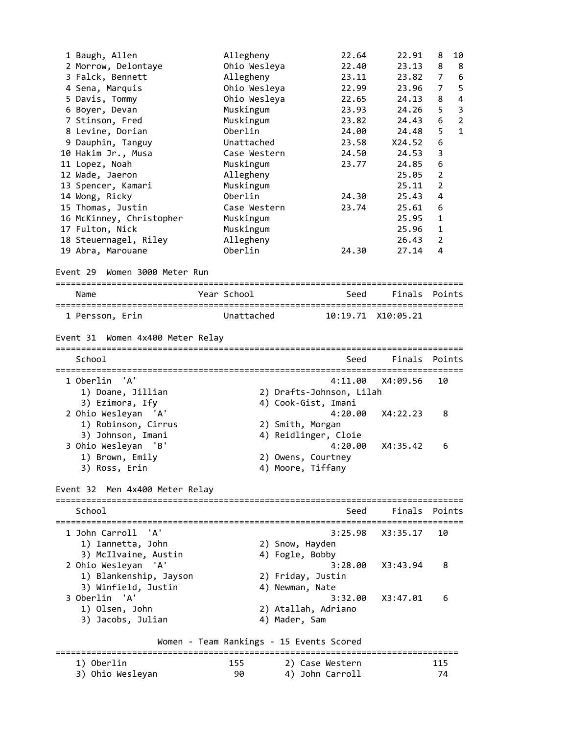| 1 Baugh, Allen<br>2 Morrow, Delontaye<br>3 Falck, Bennett<br>4 Sena, Marquis<br>5 Davis, Tommy<br>6 Boyer, Devan<br>7 Stinson, Fred<br>8 Levine, Dorian<br>9 Dauphin, Tanguy<br>10 Hakim Jr., Musa<br>11 Lopez, Noah<br>12 Wade, Jaeron<br>13 Spencer, Kamari<br>14 Wong, Ricky<br>15 Thomas, Justin<br>16 McKinney, Christopher<br>17 Fulton, Nick<br>18 Steuernagel, Riley<br>19 Abra, Marouane |  | Allegheny<br>Ohio Wesleya<br>Allegheny<br>Ohio Wesleya<br>Ohio Wesleya<br>Muskingum<br>Muskingum<br>Oberlin<br>Unattached<br>Case Western<br>Muskingum<br>Allegheny<br>Muskingum<br>Oberlin<br>Case Western<br>Muskingum<br>Muskingum<br>Allegheny<br>Oberlin | 22.64<br>22.40<br>23.11<br>22.99<br>22.65<br>23.93<br>23.82<br>24.00<br>23.58<br>24.50<br>23.77<br>24.30<br>23.74<br>24.30 | 22.91<br>23.13<br>23.82<br>23.96<br>24.13<br>24.26<br>24.43<br>24.48<br>X24.52<br>24.53<br>24.85<br>25.05<br>25.11<br>25.43<br>25.61<br>25.95<br>25.96<br>26.43<br>27.14 | 8<br>10<br>8<br>8<br>6<br>7<br>5<br>7<br>4<br>8<br>$\overline{3}$<br>5<br>$\overline{2}$<br>6<br>5<br>$\mathbf{1}$<br>6<br>3<br>6<br>$\overline{2}$<br>$\overline{2}$<br>4<br>6<br>1<br>1<br>$\overline{2}$<br>4 |
|---------------------------------------------------------------------------------------------------------------------------------------------------------------------------------------------------------------------------------------------------------------------------------------------------------------------------------------------------------------------------------------------------|--|---------------------------------------------------------------------------------------------------------------------------------------------------------------------------------------------------------------------------------------------------------------|----------------------------------------------------------------------------------------------------------------------------|--------------------------------------------------------------------------------------------------------------------------------------------------------------------------|------------------------------------------------------------------------------------------------------------------------------------------------------------------------------------------------------------------|
| Women 3000 Meter Run<br>Event 29                                                                                                                                                                                                                                                                                                                                                                  |  |                                                                                                                                                                                                                                                               |                                                                                                                            |                                                                                                                                                                          |                                                                                                                                                                                                                  |
| Name                                                                                                                                                                                                                                                                                                                                                                                              |  | Year School                                                                                                                                                                                                                                                   | Seed                                                                                                                       | Finals                                                                                                                                                                   | Points                                                                                                                                                                                                           |
| 1 Persson, Erin                                                                                                                                                                                                                                                                                                                                                                                   |  | Unattached                                                                                                                                                                                                                                                    |                                                                                                                            | 10:19.71 X10:05.21                                                                                                                                                       |                                                                                                                                                                                                                  |
| Event 31 Women 4x400 Meter Relay                                                                                                                                                                                                                                                                                                                                                                  |  |                                                                                                                                                                                                                                                               |                                                                                                                            |                                                                                                                                                                          |                                                                                                                                                                                                                  |
| School                                                                                                                                                                                                                                                                                                                                                                                            |  |                                                                                                                                                                                                                                                               | Seed                                                                                                                       | Finals                                                                                                                                                                   | Points                                                                                                                                                                                                           |
| " A '<br>1 Oberlin<br>1) Doane, Jillian<br>3) Ezimora, Ify                                                                                                                                                                                                                                                                                                                                        |  |                                                                                                                                                                                                                                                               | 4:11.00<br>2) Drafts-Johnson, Lilah<br>4) Cook-Gist, Imani                                                                 | X4:09.56                                                                                                                                                                 | 10                                                                                                                                                                                                               |
| 2 Ohio Wesleyan<br>'A'<br>1) Robinson, Cirrus                                                                                                                                                                                                                                                                                                                                                     |  |                                                                                                                                                                                                                                                               | 4:20.00<br>2) Smith, Morgan                                                                                                | X4:22.23                                                                                                                                                                 | 8                                                                                                                                                                                                                |
| 3) Johnson, Imani<br>3 Ohio Wesleyan<br>'B'<br>1) Brown, Emily<br>3) Ross, Erin                                                                                                                                                                                                                                                                                                                   |  |                                                                                                                                                                                                                                                               | 4) Reidlinger, Cloie<br>4:20.00<br>2) Owens, Courtney<br>4) Moore, Tiffany                                                 | X4:35.42                                                                                                                                                                 | 6                                                                                                                                                                                                                |
| Event 32 Men 4x400 Meter Relay                                                                                                                                                                                                                                                                                                                                                                    |  |                                                                                                                                                                                                                                                               |                                                                                                                            |                                                                                                                                                                          |                                                                                                                                                                                                                  |
| School                                                                                                                                                                                                                                                                                                                                                                                            |  |                                                                                                                                                                                                                                                               | Seed                                                                                                                       | Finals                                                                                                                                                                   | Points                                                                                                                                                                                                           |
| 1 John Carroll<br>'A'<br>1) Iannetta, John<br>3) McIlvaine, Austin                                                                                                                                                                                                                                                                                                                                |  |                                                                                                                                                                                                                                                               | 3:25.98<br>2) Snow, Hayden<br>4) Fogle, Bobby                                                                              | X3:35.17                                                                                                                                                                 | 10                                                                                                                                                                                                               |
| 'A'<br>2 Ohio Wesleyan<br>1) Blankenship, Jayson<br>3) Winfield, Justin                                                                                                                                                                                                                                                                                                                           |  |                                                                                                                                                                                                                                                               | 3:28.00<br>2) Friday, Justin<br>4) Newman, Nate                                                                            | X3:43.94                                                                                                                                                                 | 8                                                                                                                                                                                                                |
| '' A<br>3 Oberlin<br>1) Olsen, John<br>3) Jacobs, Julian                                                                                                                                                                                                                                                                                                                                          |  |                                                                                                                                                                                                                                                               | 3:32.00<br>2) Atallah, Adriano<br>4) Mader, Sam                                                                            | X3:47.01                                                                                                                                                                 | 6                                                                                                                                                                                                                |
| Women - Team Rankings - 15 Events Scored                                                                                                                                                                                                                                                                                                                                                          |  |                                                                                                                                                                                                                                                               |                                                                                                                            |                                                                                                                                                                          |                                                                                                                                                                                                                  |
| --------------<br>1) Oberlin                                                                                                                                                                                                                                                                                                                                                                      |  | 155                                                                                                                                                                                                                                                           | 2) Case Western                                                                                                            |                                                                                                                                                                          | 115                                                                                                                                                                                                              |
| 3) Ohio Wesleyan                                                                                                                                                                                                                                                                                                                                                                                  |  | 90                                                                                                                                                                                                                                                            | 4) John Carroll                                                                                                            |                                                                                                                                                                          | 74                                                                                                                                                                                                               |